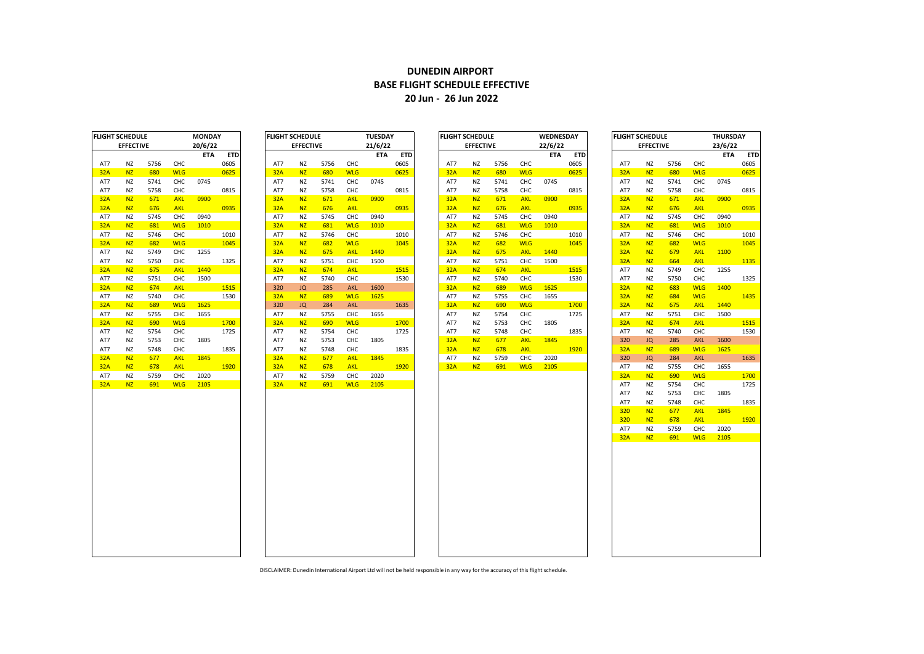## **DUNEDIN AIRPORT BASE FLIGHT SCHEDULE EFFECTIVE 20 Jun - 26 Jun 2022**

| LIGHT SCHEDULE |                  |      |            | IULSUAT |            |
|----------------|------------------|------|------------|---------|------------|
|                | <b>EFFECTIVE</b> |      |            | 21/6/22 |            |
|                |                  |      |            | ETA     | <b>ETD</b> |
| AT7            | NZ               | 5756 | CHC        |         | 0605       |
| 32A            | <b>NZ</b>        | 680  | <b>WLG</b> |         | 0625       |
| AT7            | ΝZ               | 5741 | CHC        | 0745    |            |
| AT7            | NZ               | 5758 | CHC        |         | 0815       |
| 32A            | <b>NZ</b>        | 671  | <b>AKL</b> | 0900    |            |
| 32A            | <b>NZ</b>        | 676  | <b>AKL</b> |         | 0935       |
| AT7            | NZ               | 5745 | CHC        | 0940    |            |
| 32A            | <b>NZ</b>        | 681  | <b>WLG</b> | 1010    |            |
| AT7            | ΝZ               | 5746 | CHC        |         | 1010       |
| 32A            | <b>NZ</b>        | 682  | <b>WLG</b> |         | 1045       |
| 32A            | <b>NZ</b>        | 675  | <b>AKL</b> | 1440    |            |
| AT7            | <b>NZ</b>        | 5751 | CHC        | 1500    |            |
| 32A            | <b>NZ</b>        | 674  | <b>AKL</b> |         | 1515       |
| AT7            | <b>NZ</b>        | 5740 | снс        |         | 1530       |
| 320            | JQ               | 285  | <b>AKL</b> | 1600    |            |
| 32A            | <b>NZ</b>        | 689  | <b>WLG</b> | 1625    |            |
| 320            | JQ               | 284  | <b>AKL</b> |         | 1635       |
| AT7            | ΝZ               | 5755 | CHC        | 1655    |            |
| 32A            | <b>NZ</b>        | 690  | <b>WLG</b> |         | 1700       |
| AT7            | NZ               | 5754 | CHC        |         | 1725       |
| AT7            | ΝZ               | 5753 | снс        | 1805    |            |
| AT7            | NZ               | 5748 | CHC        |         | 1835       |
| 32A            | <b>NZ</b>        | 677  | <b>AKL</b> | 1845    |            |
| 32A            | <b>NZ</b>        | 678  | <b>AKL</b> |         | 1920       |
| AT7            | ΝZ               | 5759 | CHC        | 2020    |            |
| 32A            | <b>NZ</b>        | 691  | <b>WLG</b> | 2105    |            |
|                |                  |      |            |         |            |
|                |                  |      |            |         |            |
|                |                  |      |            |         |            |
|                |                  |      |            |         |            |
|                |                  |      |            |         |            |
|                |                  |      |            |         |            |
|                |                  |      |            |         |            |

|            | FLIGHT SCHEDULE  |      |            | <b>MONDAY</b> |            | <b>FLIGHT SCHEDULE</b> |                  |      |            | <b>TUESDAY</b> |            | <b>FLIGHT SCHEDULE</b> |                  |      |            | <b>WEDNESDAY</b> |            | <b>FLIGHT SCHEDULE</b> |                  |      |            | <b>THURSDAY</b> |            |
|------------|------------------|------|------------|---------------|------------|------------------------|------------------|------|------------|----------------|------------|------------------------|------------------|------|------------|------------------|------------|------------------------|------------------|------|------------|-----------------|------------|
|            | <b>EFFECTIVE</b> |      |            | 20/6/22       |            |                        | <b>EFFECTIVE</b> |      |            | 21/6/22        |            |                        | <b>EFFECTIVE</b> |      |            | 22/6/22          |            |                        | <b>EFFECTIVE</b> |      |            | 23/6/22         |            |
|            |                  |      |            | <b>ETA</b>    | <b>ETD</b> |                        |                  |      |            | <b>ETA</b>     | <b>ETD</b> |                        |                  |      |            | <b>ETA</b>       | <b>ETD</b> |                        |                  |      |            | <b>ETA</b>      | <b>ETD</b> |
| AT7        | <b>NZ</b>        | 5756 | CHC        |               | 0605       | AT7                    | <b>NZ</b>        | 5756 | CHC        |                | 0605       | AT7                    | NZ               | 5756 | CHC        |                  | 0605       | AT7                    | <b>NZ</b>        | 5756 | CHC        |                 | 0605       |
| 32A        | N <sub>Z</sub>   | 680  | <b>WLG</b> |               | 0625       | 32A                    | <b>NZ</b>        | 680  | <b>WLG</b> |                | 0625       | 32A                    | <b>NZ</b>        | 680  | <b>WLG</b> |                  | 0625       | 32A                    | <b>NZ</b>        | 680  | <b>WLG</b> |                 | 0625       |
| AT7        | <b>NZ</b>        | 5741 | CHC        | 0745          |            | AT7                    | NZ               | 5741 | CHC        | 0745           |            | AT7                    | NZ.              | 5741 | CHC        | 0745             |            | AT7                    | <b>NZ</b>        | 5741 | CHC        | 0745            |            |
| AT7        | NZ               | 5758 | CHC        |               | 0815       | AT7                    | <b>NZ</b>        | 5758 | CHC        |                | 0815       | AT7                    | NZ               | 5758 | CHC        |                  | 0815       | AT7                    | <b>NZ</b>        | 5758 | CHC        |                 | 0815       |
| 32A        | <b>NZ</b>        | 671  | <b>AKL</b> | 0900          |            | 32A                    | <b>NZ</b>        | 671  | <b>AKL</b> | 0900           |            | 32A                    | <b>NZ</b>        | 671  | AKL        | 0900             |            | 32A                    | <b>NZ</b>        | 671  | <b>AKL</b> | 0900            |            |
| 32A        | N <sub>Z</sub>   | 676  | <b>AKL</b> |               | 0935       | 32A                    | <b>NZ</b>        | 676  | <b>AKL</b> |                | 0935       | 32A                    | <b>NZ</b>        | 676  | <b>AKL</b> |                  | 0935       | 32A                    | <b>NZ</b>        | 676  | <b>AKL</b> |                 | 0935       |
| AT7        | NZ               | 5745 | CHC        | 0940          |            | AT7                    | NZ               | 5745 | CHC        | 0940           |            | AT7                    | NZ               | 5745 | CHC        | 0940             |            | AT7                    | NZ               | 5745 | CHC        | 0940            |            |
| 32A        | <b>NZ</b>        | 681  | <b>WLG</b> | 1010          |            | 32A                    | N <sub>Z</sub>   | 681  | <b>WLG</b> | 1010           |            | 32A                    | N <sub>Z</sub>   | 681  | <b>WLG</b> | 1010             |            | 32A                    | N <sub>Z</sub>   | 681  | <b>WLG</b> | 1010            |            |
| AT7        | <b>NZ</b>        | 5746 | CHC        |               | 1010       | AT7                    | <b>NZ</b>        | 5746 | CHC        |                | 1010       | AT7                    | NZ               | 5746 | CHC        |                  | 1010       | AT7                    | <b>NZ</b>        | 5746 | CHC        |                 | 1010       |
| 32A        | <b>NZ</b>        | 682  | <b>WLG</b> |               | 1045       | 32A                    | <b>NZ</b>        | 682  | <b>WLG</b> |                | 1045       | 32A                    | N <sub>Z</sub>   | 682  | <b>WLG</b> |                  | 1045       | 32A                    | N <sub>Z</sub>   | 682  | <b>WLG</b> |                 | 1045       |
| AT7        | <b>NZ</b>        | 5749 | CHC        | 1255          |            | 32A                    | <b>NZ</b>        | 675  | <b>AKL</b> | 1440           |            | 32A                    | <b>NZ</b>        | 675  | <b>AKL</b> | 1440             |            | 32A                    | <b>NZ</b>        | 679  | <b>AKL</b> | 1100            |            |
| AT7        | <b>NZ</b>        | 5750 | CHC        |               | 1325       | AT7                    | <b>NZ</b>        | 5751 | CHC        | 1500           |            | AT7                    | NZ               | 5751 | CHC        | 1500             |            | 32A                    | N <sub>Z</sub>   | 664  | <b>AKL</b> |                 | 1135       |
| <b>32A</b> | <b>NZ</b>        | 675  | <b>AKL</b> | 1440          |            | 32A                    | N <sub>Z</sub>   | 674  | <b>AKL</b> |                | 1515       | 32A                    | N <sub>Z</sub>   | 674  | <b>AKL</b> |                  | 1515       | AT7                    | <b>NZ</b>        | 5749 | CHC        | 1255            |            |
| AT7        | NZ               | 5751 | CHC        | 1500          |            | AT7                    | <b>NZ</b>        | 5740 | CHC        |                | 1530       | AT7                    | ΝZ               | 5740 | CHC        |                  | 1530       | AT7                    | <b>NZ</b>        | 5750 | CHC        |                 | 1325       |
| 32A        | <b>NZ</b>        | 674  | <b>AKL</b> |               | 1515       | 320                    | JQ               | 285  | <b>AKL</b> | 1600           |            | 32A                    | N <sub>Z</sub>   | 689  | <b>WLG</b> | 1625             |            | 32A                    | <b>NZ</b>        | 683  | <b>WLG</b> | 1400            |            |
| AT7        | <b>NZ</b>        | 5740 | CHC        |               | 1530       | 32A                    | <b>NZ</b>        | 689  | <b>WLG</b> | 1625           |            | AT7                    | NZ               | 5755 | <b>CHC</b> | 1655             |            | 32A                    | <b>NZ</b>        | 684  | <b>WLG</b> |                 | 1435       |
| 32A        | <b>NZ</b>        | 689  | <b>WLG</b> | 1625          |            | 320                    | JQ               | 284  | <b>AKL</b> |                | 1635       | 32A                    | <b>NZ</b>        | 690  | <b>WLG</b> |                  | 1700       | 32A                    | N <sub>Z</sub>   | 675  | <b>AKL</b> | 1440            |            |
| AT7        | <b>NZ</b>        | 5755 | CHC        | 1655          |            | AT7                    | <b>NZ</b>        | 5755 | CHC        | 1655           |            | AT7                    | NZ               | 5754 | CHC        |                  | 1725       | AT7                    | <b>NZ</b>        | 5751 | CHC        | 1500            |            |
| 32A        | <b>NZ</b>        | 690  | <b>WLG</b> |               | 1700       | 32A                    | <b>NZ</b>        | 690  | <b>WLG</b> |                | 1700       | AT7                    | NZ               | 5753 | CHC        | 1805             |            | 32A                    | N <sub>Z</sub>   | 674  | <b>AKL</b> |                 | 1515       |
| AT7        | <b>NZ</b>        | 5754 | CHC        |               | 1725       | AT7                    | <b>NZ</b>        | 5754 | CHC        |                | 1725       | AT7                    | <b>NZ</b>        | 5748 | CHC        |                  | 1835       | AT7                    | <b>NZ</b>        | 5740 | CHC        |                 | 1530       |
| AT7        | <b>NZ</b>        | 5753 | CHC        | 1805          |            | AT7                    | <b>NZ</b>        | 5753 | CHC        | 1805           |            | 32A                    | <b>NZ</b>        | 677  | AKL        | 1845             |            | 320                    | JQ               | 285  | <b>AKL</b> | 1600            |            |
| AT7        | <b>NZ</b>        | 5748 | CHC        |               | 1835       | AT7                    | <b>NZ</b>        | 5748 | CHC        |                | 1835       | 32A                    | <b>NZ</b>        | 678  | <b>AKL</b> |                  | 1920       | 32A                    | N <sub>Z</sub>   | 689  | <b>WLG</b> | 1625            |            |
| <b>32A</b> | N <sub>Z</sub>   | 677  | <b>AKL</b> | 1845          |            | 32A                    | <b>NZ</b>        | 677  | <b>AKL</b> | 1845           |            | AT7                    | ΝZ               | 5759 | CHC        | 2020             |            | 320                    | JQ               | 284  | <b>AKL</b> |                 | 1635       |
| 32A        | <b>NZ</b>        | 678  | <b>AKL</b> |               | 1920       | 32A                    | N <sub>Z</sub>   | 678  | <b>AKL</b> |                | 1920       | 32A                    | <b>NZ</b>        | 691  | <b>WLG</b> | 2105             |            | AT7                    | <b>NZ</b>        | 5755 | CHC        | 1655            |            |
| AT7        | <b>NZ</b>        | 5759 | CHC        | 2020          |            | AT7                    | <b>NZ</b>        | 5759 | CHC        | 2020           |            |                        |                  |      |            |                  |            | 32A                    | <b>NZ</b>        | 690  | <b>WLG</b> |                 | 1700       |
| 32A        | NZ.              | 691  | <b>WLG</b> | 2105          |            | 32A                    | N <sub>7</sub>   | 691  | <b>WLG</b> | 2105           |            |                        |                  |      |            |                  |            | AT7                    | N <sub>Z</sub>   | 5754 | CHC.       |                 | 1725       |

|     | IGHT SCHEDULE    |      |            | <b>MONDAY</b> |            | <b>FLIGHT SCHEDULE</b> |                  |      |            | <b>TUESDAY</b> |            | <b>FLIGHT SCHEDULE</b> |                  |      |            | WEDNESDAY |            | FLIGHT SCHEDULE  |           | <b>THURSDAY</b> |            |         |            |
|-----|------------------|------|------------|---------------|------------|------------------------|------------------|------|------------|----------------|------------|------------------------|------------------|------|------------|-----------|------------|------------------|-----------|-----------------|------------|---------|------------|
|     | <b>EFFECTIVE</b> |      |            | 20/6/22       |            |                        | <b>EFFECTIVE</b> |      |            | 21/6/22        |            |                        | <b>EFFECTIVE</b> |      |            | 22/6/22   |            | <b>EFFECTIVE</b> |           |                 |            | 23/6/22 |            |
|     |                  |      |            | <b>ETA</b>    | <b>ETD</b> |                        |                  |      |            | <b>ETA</b>     | <b>ETD</b> |                        |                  |      |            | ETA       | <b>ETD</b> |                  |           |                 |            | ETA     | <b>ETD</b> |
| AT7 | NZ               | 5756 | CHC        |               | 0605       | AT7                    | NZ               | 5756 | <b>CHC</b> |                | 0605       | AT7                    | NZ               | 5756 | CHC        |           | 0605       | AT7              | <b>NZ</b> | 5756            | CHC        |         | 0605       |
| 32A | <b>NZ</b>        | 680  | <b>WLG</b> |               | 0625       | 32A                    | <b>NZ</b>        | 680  | <b>WLG</b> |                | 0625       | 32A                    | <b>NZ</b>        | 680  | <b>WLG</b> |           | 0625       | 32A              | <b>NZ</b> | 680             | <b>WLG</b> |         | 0625       |
| AT7 | NZ               | 5741 | CHC        | 0745          |            | AT7                    | ΝZ               | 5741 | CHC        | 0745           |            | AT7                    | ΝZ               | 5741 | CHC        | 0745      |            | AT7              | NZ        | 5741            | CHC        | 0745    |            |
| AT7 | <b>NZ</b>        | 5758 | CHC        |               | 0815       | AT7                    | ΝZ               | 5758 | CHC        |                | 0815       | AT7                    | ΝZ               | 5758 | CHC        |           | 0815       | AT7              | NZ        | 5758            | CHC        |         | 0815       |
| 32A | <b>NZ</b>        | 671  | <b>AKL</b> | 0900          |            | 32A                    | <b>NZ</b>        | 671  | <b>AKL</b> | 0900           |            | 32A                    | <b>NZ</b>        | 671  | <b>AKL</b> | 0900      |            | 32A              | <b>NZ</b> | 671             | <b>AKL</b> | 0900    |            |
| 32A | <b>NZ</b>        | 676  | <b>AKL</b> |               | 0935       | 32A                    | <b>NZ</b>        | 676  | <b>AKL</b> |                | 0935       | 32A                    | <b>NZ</b>        | 676  | <b>AKL</b> |           | 0935       | 32A              | <b>NZ</b> | 676             | <b>AKL</b> |         | 0935       |
| AT7 | <b>NZ</b>        | 5745 | CHC        | 0940          |            | AT7                    | NZ               | 5745 | CHC        | 0940           |            | AT7                    | NZ               | 5745 | CHC        | 0940      |            | AT7              | <b>NZ</b> | 5745            | <b>CHC</b> | 0940    |            |
| 32A | <b>NZ</b>        | 681  | <b>WLG</b> | 1010          |            | 32A                    | <b>NZ</b>        | 681  | <b>WLG</b> | 1010           |            | 32A                    | <b>NZ</b>        | 681  | <b>WLG</b> | 1010      |            | 32A              | <b>NZ</b> | 681             | <b>WLG</b> | 1010    |            |
| AT7 | <b>NZ</b>        | 5746 | CHC        |               | 1010       | AT7                    | <b>NZ</b>        | 5746 | CHC        |                | 1010       | AT7                    | <b>NZ</b>        | 5746 | CHC        |           | 1010       | AT7              | <b>NZ</b> | 5746            | CHC        |         | 1010       |
| 32A | NZ               | 682  | <b>WLG</b> |               | 1045       | 32A                    | <b>NZ</b>        | 682  | <b>WLG</b> |                | 1045       | 32A                    | <b>NZ</b>        | 682  | <b>WLG</b> |           | 1045       | 32A              | <b>NZ</b> | 682             | <b>WLG</b> |         | 1045       |
| AT7 | <b>NZ</b>        | 5749 | CHC        | 1255          |            | 32A                    | <b>NZ</b>        | 675  | <b>AKL</b> | 1440           |            | 32A                    | <b>NZ</b>        | 675  | <b>AKL</b> | 1440      |            | 32A              | <b>NZ</b> | 679             | <b>AKL</b> | 1100    |            |
| AT7 | <b>NZ</b>        | 5750 | CHC        |               | 1325       | AT7                    | <b>NZ</b>        | 5751 | CHC        | 1500           |            | AT7                    | ΝZ               | 5751 | CHC        | 1500      |            | 32A              | <b>NZ</b> | 664             | <b>AKL</b> |         | 1135       |
| 32A | <b>NZ</b>        | 675  | <b>AKL</b> | 1440          |            | 32A                    | <b>NZ</b>        | 674  | <b>AKL</b> |                | 1515       | 32A                    | <b>NZ</b>        | 674  | <b>AKL</b> |           | 1515       | AT7              | NZ        | 5749            | CHC        | 1255    |            |
| AT7 | <b>NZ</b>        | 5751 | CHC        | 1500          |            | AT7                    | <b>NZ</b>        | 5740 | <b>CHC</b> |                | 1530       | AT7                    | <b>NZ</b>        | 5740 | CHC        |           | 1530       | AT7              | <b>NZ</b> | 5750            | CHC        |         | 1325       |
| 32A | <b>NZ</b>        | 674  | <b>AKL</b> |               | 1515       | 320                    | JQ               | 285  | AKL        | 1600           |            | 32A                    | <b>NZ</b>        | 689  | <b>WLG</b> | 1625      |            | 32A              | <b>NZ</b> | 683             | <b>WLG</b> | 1400    |            |
| AT7 | <b>NZ</b>        | 5740 | CHC        |               | 1530       | 32A                    | <b>NZ</b>        | 689  | <b>WLG</b> | 1625           |            | AT7                    | NZ               | 5755 | CHC        | 1655      |            | 32A              | <b>NZ</b> | 684             | <b>WLG</b> |         | 1435       |
| 32A | <b>NZ</b>        | 689  | <b>WLG</b> | 1625          |            | 320                    | JQ               | 284  | AKL        |                | 1635       | 32A                    | <b>NZ</b>        | 690  | <b>WLG</b> |           | 1700       | 32A              | <b>NZ</b> | 675             | <b>AKL</b> | 1440    |            |
| AT7 | NZ               | 5755 | CHC        | 1655          |            | AT7                    | ΝZ               | 5755 | CHC        | 1655           |            | AT7                    | ΝZ               | 5754 | CHC        |           | 1725       | AT7              | NZ        | 5751            | CHC        | 1500    |            |
| 32A | <b>NZ</b>        | 690  | <b>WLG</b> |               | 1700       | 32A                    | <b>NZ</b>        | 690  | <b>WLG</b> |                | 1700       | AT7                    | ΝZ               | 5753 | CHC        | 1805      |            | 32A              | <b>NZ</b> | 674             | <b>AKL</b> |         | 1515       |
| AT7 | <b>NZ</b>        | 5754 | CHC        |               | 1725       | AT7                    | NZ               | 5754 | CHC        |                | 1725       | AT7                    | NZ               | 5748 | CHC        |           | 1835       | AT7              | NZ        | 5740            | CHC        |         | 1530       |
| AT7 | <b>NZ</b>        | 5753 | CHC        | 1805          |            | AT7                    | ΝZ               | 5753 | CHC        | 1805           |            | 32A                    | <b>NZ</b>        | 677  | <b>AKL</b> | 1845      |            | 320              | JQ        | 285             | <b>AKL</b> | 1600    |            |
| AT7 | NZ               | 5748 | CHC        |               | 1835       | AT7                    | <b>NZ</b>        | 5748 | CHC        |                | 1835       | 32A                    | <b>NZ</b>        | 678  | <b>AKL</b> |           | 1920       | 32A              | <b>NZ</b> | 689             | <b>WLG</b> | 1625    |            |
| 32A | <b>NZ</b>        | 677  | <b>AKL</b> | 1845          |            | 32A                    | <b>NZ</b>        | 677  | <b>AKL</b> | 1845           |            | AT7                    | NZ               | 5759 | CHC        | 2020      |            | 320              | <b>JQ</b> | 284             | <b>AKL</b> |         | 1635       |
| 32A | <b>NZ</b>        | 678  | <b>AKL</b> |               | 1920       | 32A                    | <b>NZ</b>        | 678  | <b>AKL</b> |                | 1920       | 32A                    | <b>NZ</b>        | 691  | <b>WLG</b> | 2105      |            | AT7              | <b>NZ</b> | 5755            | CHC        | 1655    |            |
| AT7 | NZ               | 5759 | CHC        | 2020          |            | AT7                    | ΝZ               | 5759 | CHC        | 2020           |            |                        |                  |      |            |           |            | 32A              | <b>NZ</b> | 690             | <b>WLG</b> |         | 1700       |
| 32A | <b>NZ</b>        | 691  | <b>WLG</b> | 2105          |            | 32A                    | <b>NZ</b>        | 691  | <b>WLG</b> | 2105           |            |                        |                  |      |            |           |            | AT7              | NZ        | 5754            | CHC        |         | 1725       |
|     |                  |      |            |               |            |                        |                  |      |            |                |            |                        |                  |      |            |           |            | AT7              | NZ        | 5753            | CHC        | 1805    |            |
|     |                  |      |            |               |            |                        |                  |      |            |                |            |                        |                  |      |            |           |            | AT7              | NZ        | 5748            | CHC        |         | 1835       |
|     |                  |      |            |               |            |                        |                  |      |            |                |            |                        |                  |      |            |           |            | 320              | <b>NZ</b> | 677             | <b>AKL</b> | 1845    |            |
|     |                  |      |            |               |            |                        |                  |      |            |                |            |                        |                  |      |            |           |            | 320              | <b>NZ</b> | 678             | <b>AKL</b> |         | 1920       |
|     |                  |      |            |               |            |                        |                  |      |            |                |            |                        |                  |      |            |           |            | AT7              | <b>NZ</b> | 5759            | CHC        | 2020    |            |
|     |                  |      |            |               |            |                        |                  |      |            |                |            |                        |                  |      |            |           |            | 32A              | <b>NZ</b> | 691             | <b>WLG</b> | 2105    |            |
|     |                  |      |            |               |            |                        |                  |      |            |                |            |                        |                  |      |            |           |            |                  |           |                 |            |         |            |
|     |                  |      |            |               |            |                        |                  |      |            |                |            |                        |                  |      |            |           |            |                  |           |                 |            |         |            |
|     |                  |      |            |               |            |                        |                  |      |            |                |            |                        |                  |      |            |           |            |                  |           |                 |            |         |            |
|     |                  |      |            |               |            |                        |                  |      |            |                |            |                        |                  |      |            |           |            |                  |           |                 |            |         |            |
|     |                  |      |            |               |            |                        |                  |      |            |                |            |                        |                  |      |            |           |            |                  |           |                 |            |         |            |
|     |                  |      |            |               |            |                        |                  |      |            |                |            |                        |                  |      |            |           |            |                  |           |                 |            |         |            |
|     |                  |      |            |               |            |                        |                  |      |            |                |            |                        |                  |      |            |           |            |                  |           |                 |            |         |            |
|     |                  |      |            |               |            |                        |                  |      |            |                |            |                        |                  |      |            |           |            |                  |           |                 |            |         |            |
|     |                  |      |            |               |            |                        |                  |      |            |                |            |                        |                  |      |            |           |            |                  |           |                 |            |         |            |
|     |                  |      |            |               |            |                        |                  |      |            |                |            |                        |                  |      |            |           |            |                  |           |                 |            |         |            |
|     |                  |      |            |               |            |                        |                  |      |            |                |            |                        |                  |      |            |           |            |                  |           |                 |            |         |            |
|     |                  |      |            |               |            |                        |                  |      |            |                |            |                        |                  |      |            |           |            |                  |           |                 |            |         |            |
|     |                  |      |            |               |            |                        |                  |      |            |                |            |                        |                  |      |            |           |            |                  |           |                 |            |         |            |

**10** 

DISCLAIMER: Dunedin International Airport Ltd will not be held responsible in any way for the accuracy of this flight schedule.